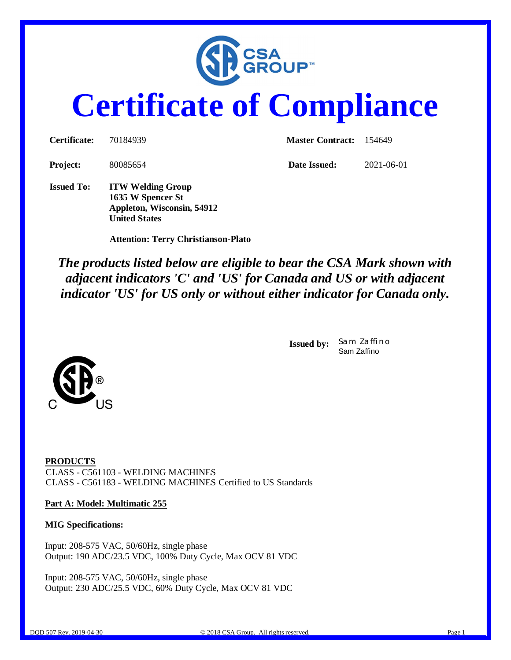

# **Certificate of Compliance**

| Certificate:      | 70184939                                                                    | <b>Master Contract:</b> 154649 |            |  |
|-------------------|-----------------------------------------------------------------------------|--------------------------------|------------|--|
| <b>Project:</b>   | 80085654                                                                    | Date Issued:                   | 2021-06-01 |  |
| <b>Issued To:</b> | <b>ITW Welding Group</b><br>1635 W Spencer St<br>Appleton, Wisconsin, 54912 |                                |            |  |

 **Attention: Terry Christianson-Plato**

**United States**

*The products listed below are eligible to bear the CSA Mark shown with adjacent indicators 'C' and 'US' for Canada and US or with adjacent indicator 'US' for US only or without either indicator for Canada only.*

> **Issued by:** *Sam Zaffino* Sam Zaffino



### **Part A: Model: Multimatic 255**

#### **MIG Specifications:**

Input: 208-575 VAC, 50/60Hz, single phase Output: 190 ADC/23.5 VDC, 100% Duty Cycle, Max OCV 81 VDC

Input: 208-575 VAC, 50/60Hz, single phase Output: 230 ADC/25.5 VDC, 60% Duty Cycle, Max OCV 81 VDC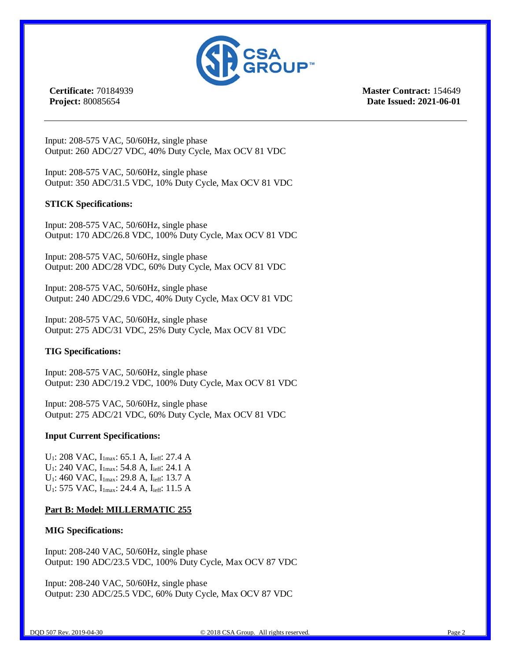

**Certificate:** 70184939 **Project:** 80085654

**Master Contract:** 154649 **Date Issued: 2021-06-01**

Input: 208-575 VAC, 50/60Hz, single phase Output: 260 ADC/27 VDC, 40% Duty Cycle, Max OCV 81 VDC

Input: 208-575 VAC, 50/60Hz, single phase Output: 350 ADC/31.5 VDC, 10% Duty Cycle, Max OCV 81 VDC

### **STICK Specifications:**

Input: 208-575 VAC, 50/60Hz, single phase Output: 170 ADC/26.8 VDC, 100% Duty Cycle, Max OCV 81 VDC

Input: 208-575 VAC, 50/60Hz, single phase Output: 200 ADC/28 VDC, 60% Duty Cycle, Max OCV 81 VDC

Input: 208-575 VAC, 50/60Hz, single phase Output: 240 ADC/29.6 VDC, 40% Duty Cycle, Max OCV 81 VDC

Input: 208-575 VAC, 50/60Hz, single phase Output: 275 ADC/31 VDC, 25% Duty Cycle, Max OCV 81 VDC

### **TIG Specifications:**

Input: 208-575 VAC, 50/60Hz, single phase Output: 230 ADC/19.2 VDC, 100% Duty Cycle, Max OCV 81 VDC

Input: 208-575 VAC, 50/60Hz, single phase Output: 275 ADC/21 VDC, 60% Duty Cycle, Max OCV 81 VDC

### **Input Current Specifications:**

U<sub>1</sub>: 208 VAC, I<sub>1max</sub>: 65.1 A, I<sub>ieff</sub>: 27.4 A U<sub>1</sub>: 240 VAC, I<sub>1max</sub>: 54.8 A, I<sub>ieff</sub>: 24.1 A U<sub>1</sub>: 460 VAC, I<sub>1max</sub>: 29.8 A, I<sub>ieff</sub>: 13.7 A U<sub>1</sub>: 575 VAC, I<sub>1max</sub>: 24.4 A, I<sub>ieff</sub>: 11.5 A

### **Part B: Model: MILLERMATIC 255**

### **MIG Specifications:**

Input: 208-240 VAC, 50/60Hz, single phase Output: 190 ADC/23.5 VDC, 100% Duty Cycle, Max OCV 87 VDC

Input: 208-240 VAC, 50/60Hz, single phase Output: 230 ADC/25.5 VDC, 60% Duty Cycle, Max OCV 87 VDC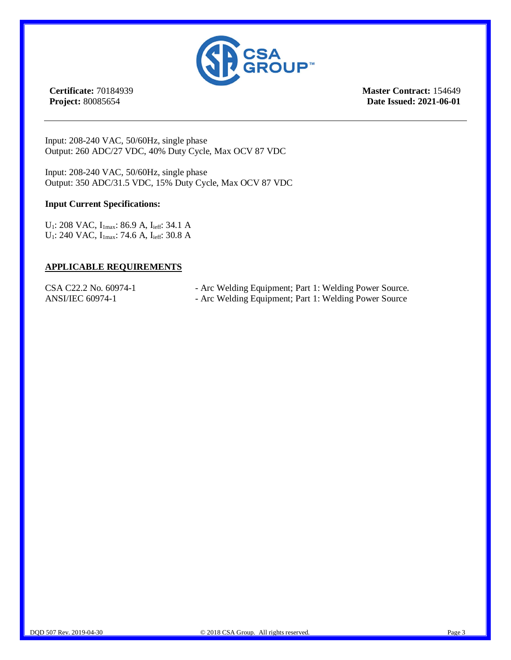

**Certificate:** 70184939 **Project:** 80085654

**Master Contract:** 154649 **Date Issued: 2021-06-01**

Input: 208-240 VAC, 50/60Hz, single phase Output: 260 ADC/27 VDC, 40% Duty Cycle, Max OCV 87 VDC

Input: 208-240 VAC, 50/60Hz, single phase Output: 350 ADC/31.5 VDC, 15% Duty Cycle, Max OCV 87 VDC

### **Input Current Specifications:**

U<sub>1</sub>: 208 VAC, I<sub>1max</sub>: 86.9 A, I<sub>ieff</sub>: 34.1 A U<sub>1</sub>: 240 VAC, I<sub>lmax</sub>: 74.6 A, I<sub>ieff</sub>: 30.8 A

#### **APPLICABLE REQUIREMENTS**

- CSA C22.2 No. 60974-1 Arc Welding Equipment; Part 1: Welding Power Source.
- ANSI/IEC 60974-1 Arc Welding Equipment; Part 1: Welding Power Source